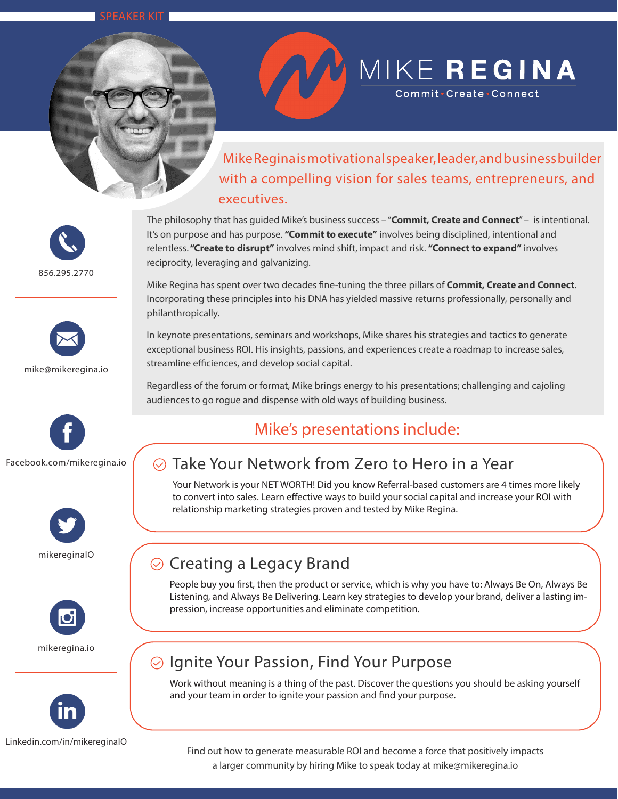SPEAKER KIT



# MIKE REGINA

 Mike Regina is motivational speaker, leader, and business builder with a compelling vision for sales teams, entrepreneurs, and executives.

856.295.2770



mike@mikeregina.io









Linkedin.com/in/mikereginaIO

The philosophy that has guided Mike's business success – "**Commit, Create and Connect**" – is intentional. It's on purpose and has purpose. **"Commit to execute"** involves being disciplined, intentional and relentless. **"Create to disrupt"** involves mind shift, impact and risk. **"Connect to expand"** involves reciprocity, leveraging and galvanizing.

Mike Regina has spent over two decades fine-tuning the three pillars of **Commit, Create and Connect**. Incorporating these principles into his DNA has yielded massive returns professionally, personally and philanthropically.

In keynote presentations, seminars and workshops, Mike shares his strategies and tactics to generate exceptional business ROI. His insights, passions, and experiences create a roadmap to increase sales, streamline efficiences, and develop social capital.

Regardless of the forum or format, Mike brings energy to his presentations; challenging and cajoling audiences to go rogue and dispense with old ways of building business.

## Mike's presentations include:

## Take Your Network from Zero to Hero in a Year

Your Network is your NET WORTH! Did you know Referral-based customers are 4 times more likely to convert into sales. Learn effective ways to build your social capital and increase your ROI with relationship marketing strategies proven and tested by Mike Regina.

# $\odot$  Creating a Legacy Brand

People buy you first, then the product or service, which is why you have to: Always Be On, Always Be Listening, and Always Be Delivering. Learn key strategies to develop your brand, deliver a lasting impression, increase opportunities and eliminate competition.

## $\odot$  Ignite Your Passion, Find Your Purpose

Work without meaning is a thing of the past. Discover the questions you should be asking yourself and your team in order to ignite your passion and find your purpose.

Find out how to generate measurable ROI and become a force that positively impacts a larger community by hiring Mike to speak today at mike@mikeregina.io